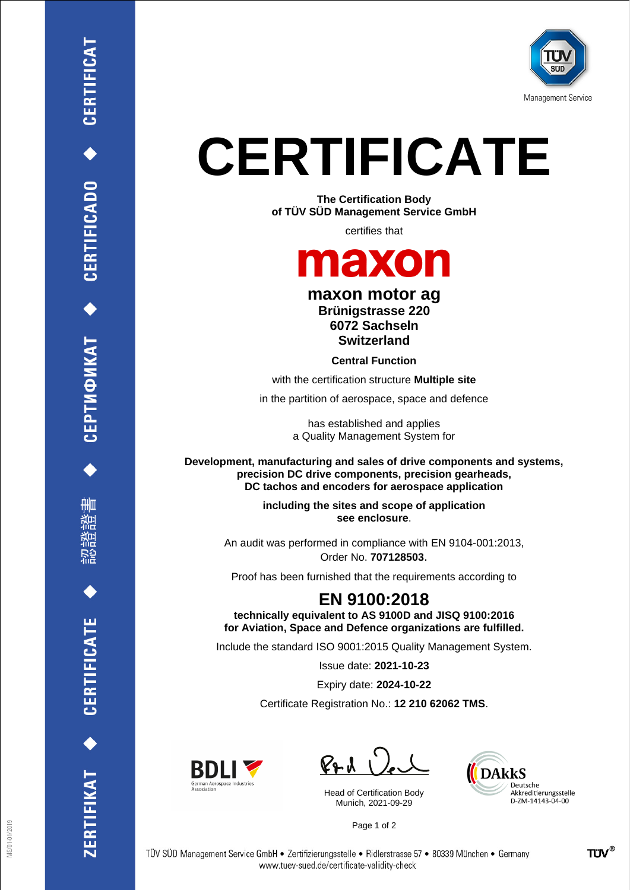

# **CERTIFICATE**

**The Certification Body of TÜV SÜD Management Service GmbH**

certifies that

### maxon

#### **maxon motor ag Brünigstrasse 220 6072 Sachseln Switzerland**

**Central Function**

with the certification structure **Multiple site**

in the partition of aerospace, space and defence

has established and applies a Quality Management System for

**Development, manufacturing and sales of drive components and systems, precision DC drive components, precision gearheads, DC tachos and encoders for aerospace application**

> **including the sites and scope of application see enclosure**.

An audit was performed in compliance with EN 9104-001:2013, Order No. **707128503**.

Proof has been furnished that the requirements according to

### **EN 9100:2018**

**technically equivalent to AS 9100D and JISQ 9100:2016 for Aviation, Space and Defence organizations are fulfilled.**

Include the standard ISO 9001:2015 Quality Management System.

Issue date: **2021-10-23**

Expiry date: **2024-10-22**

Certificate Registration No.: **12 210 62062 TMS**.



 $PAU$ 

Head of Certification Body Munich, 2021-09-29



Page 1 of 2

CERTIFICAT

CERTIFICADO<sup>+</sup>

CEPTИФИКАТ ◆

删

**CERTIFICATE** 

ERTIFIKAT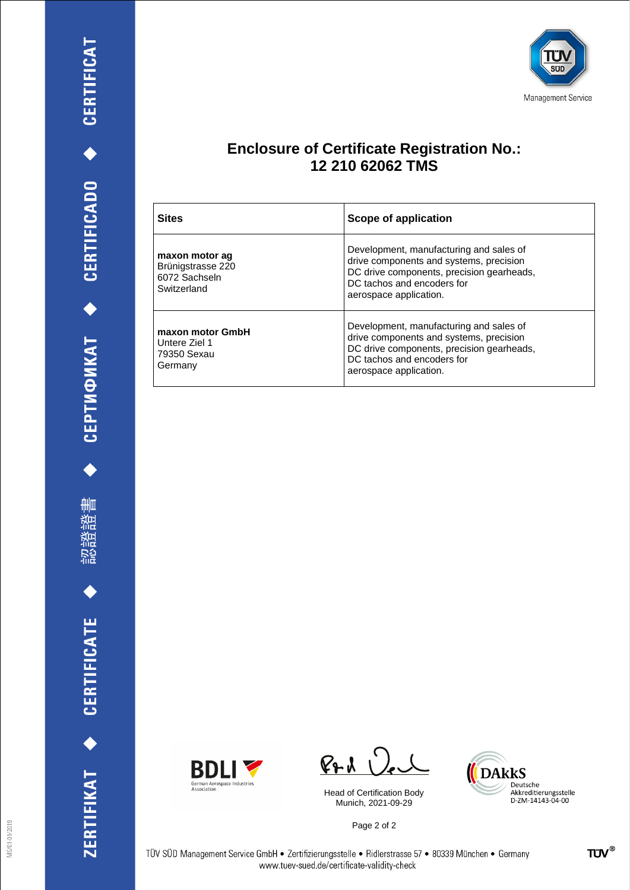刪 瀧 諮 認

ZERTIFIKAT ◆ CERTIFICATE



#### **Enclosure of Certificate Registration No.: 12 210 62062 TMS**

| <b>Sites</b>                                                        | Scope of application                                                                                                                                                                    |
|---------------------------------------------------------------------|-----------------------------------------------------------------------------------------------------------------------------------------------------------------------------------------|
| maxon motor ag<br>Brünigstrasse 220<br>6072 Sachseln<br>Switzerland | Development, manufacturing and sales of<br>drive components and systems, precision<br>DC drive components, precision gearheads,<br>DC tachos and encoders for<br>aerospace application. |
| maxon motor GmbH<br>Untere Ziel 1<br>79350 Sexau<br>Germany         | Development, manufacturing and sales of<br>drive components and systems, precision<br>DC drive components, precision gearheads,<br>DC tachos and encoders for<br>aerospace application. |



 $PAU$ 

Head of Certification Body Munich, 2021-09-29

Page 2 of 2

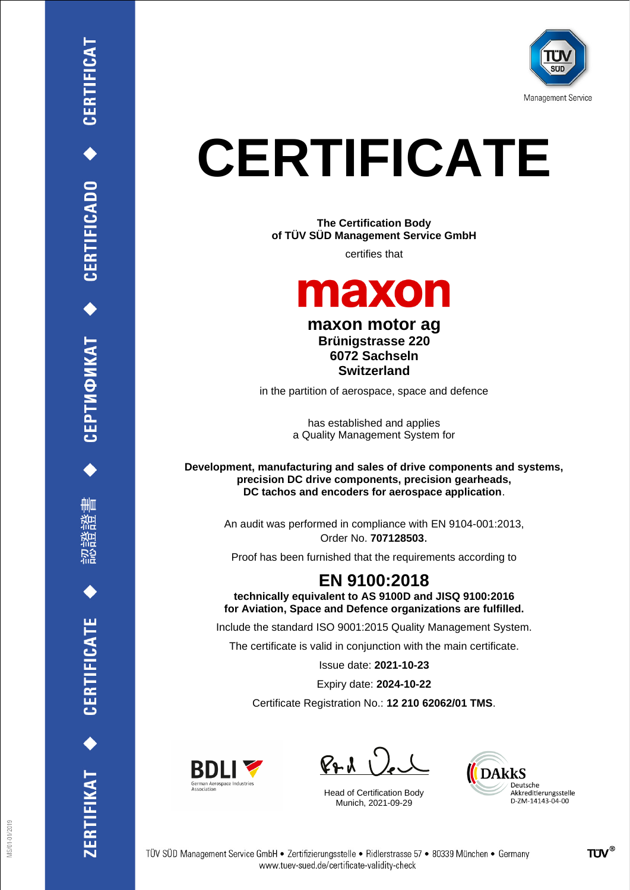

# **CERTIFICATE**

**The Certification Body of TÜV SÜD Management Service GmbH**

certifies that



**maxon motor ag Brünigstrasse 220 6072 Sachseln Switzerland**

in the partition of aerospace, space and defence

has established and applies a Quality Management System for

**Development, manufacturing and sales of drive components and systems, precision DC drive components, precision gearheads, DC tachos and encoders for aerospace application**.

> An audit was performed in compliance with EN 9104-001:2013, Order No. **707128503**.

Proof has been furnished that the requirements according to

#### **EN 9100:2018 technically equivalent to AS 9100D and JISQ 9100:2016**

**for Aviation, Space and Defence organizations are fulfilled.**

Include the standard ISO 9001:2015 Quality Management System.

The certificate is valid in conjunction with the main certificate.

Issue date: **2021-10-23**

Expiry date: **2024-10-22**

Certificate Registration No.: **12 210 62062/01 TMS**.



 $P + U$ 

Head of Certification Body Munich, 2021-09-29



删

**CERTIFICATE** 

ERTIFIKAT<sup>+</sup>